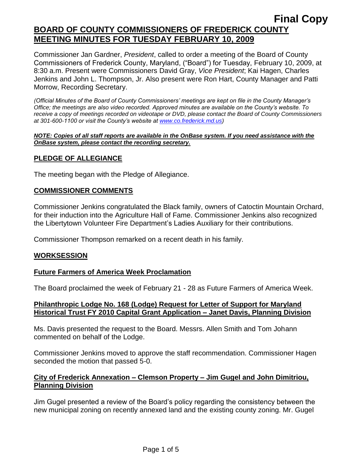Commissioner Jan Gardner, *President*, called to order a meeting of the Board of County Commissioners of Frederick County, Maryland, ("Board") for Tuesday, February 10, 2009, at 8:30 a.m. Present were Commissioners David Gray, *Vice President*; Kai Hagen, Charles Jenkins and John L. Thompson, Jr. Also present were Ron Hart, County Manager and Patti Morrow, Recording Secretary.

*(Official Minutes of the Board of County Commissioners' meetings are kept on file in the County Manager's Office; the meetings are also video recorded. Approved minutes are available on the County's website. To receive a copy of meetings recorded on videotape or DVD, please contact the Board of County Commissioners at 301-600-1100 or visit the County's website at [www.co.frederick.md.us\)](http://www.co.frederick.md.us/)*

#### *NOTE: Copies of all staff reports are available in the OnBase system. If you need assistance with the OnBase system, please contact the recording secretary.*

#### **PLEDGE OF ALLEGIANCE**

The meeting began with the Pledge of Allegiance.

#### **COMMISSIONER COMMENTS**

Commissioner Jenkins congratulated the Black family, owners of Catoctin Mountain Orchard, for their induction into the Agriculture Hall of Fame. Commissioner Jenkins also recognized the Libertytown Volunteer Fire Department's Ladies Auxiliary for their contributions.

Commissioner Thompson remarked on a recent death in his family.

#### **WORKSESSION**

#### **Future Farmers of America Week Proclamation**

The Board proclaimed the week of February 21 - 28 as Future Farmers of America Week.

#### **Philanthropic Lodge No. 168 (Lodge) Request for Letter of Support for Maryland Historical Trust FY 2010 Capital Grant Application – Janet Davis, Planning Division**

Ms. Davis presented the request to the Board. Messrs. Allen Smith and Tom Johann commented on behalf of the Lodge.

Commissioner Jenkins moved to approve the staff recommendation. Commissioner Hagen seconded the motion that passed 5-0.

#### **City of Frederick Annexation – Clemson Property – Jim Gugel and John Dimitriou, Planning Division**

Jim Gugel presented a review of the Board's policy regarding the consistency between the new municipal zoning on recently annexed land and the existing county zoning. Mr. Gugel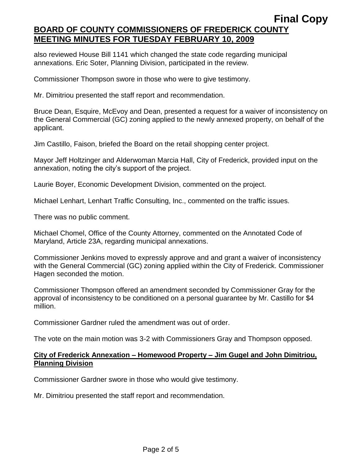also reviewed House Bill 1141 which changed the state code regarding municipal annexations. Eric Soter, Planning Division, participated in the review.

Commissioner Thompson swore in those who were to give testimony.

Mr. Dimitriou presented the staff report and recommendation.

Bruce Dean, Esquire, McEvoy and Dean, presented a request for a waiver of inconsistency on the General Commercial (GC) zoning applied to the newly annexed property, on behalf of the applicant.

Jim Castillo, Faison, briefed the Board on the retail shopping center project.

Mayor Jeff Holtzinger and Alderwoman Marcia Hall, City of Frederick, provided input on the annexation, noting the city's support of the project.

Laurie Boyer, Economic Development Division, commented on the project.

Michael Lenhart, Lenhart Traffic Consulting, Inc., commented on the traffic issues.

There was no public comment.

Michael Chomel, Office of the County Attorney, commented on the Annotated Code of Maryland, Article 23A, regarding municipal annexations.

Commissioner Jenkins moved to expressly approve and and grant a waiver of inconsistency with the General Commercial (GC) zoning applied within the City of Frederick. Commissioner Hagen seconded the motion.

Commissioner Thompson offered an amendment seconded by Commissioner Gray for the approval of inconsistency to be conditioned on a personal guarantee by Mr. Castillo for \$4 million.

Commissioner Gardner ruled the amendment was out of order.

The vote on the main motion was 3-2 with Commissioners Gray and Thompson opposed.

#### **City of Frederick Annexation – Homewood Property – Jim Gugel and John Dimitriou, Planning Division**

Commissioner Gardner swore in those who would give testimony.

Mr. Dimitriou presented the staff report and recommendation.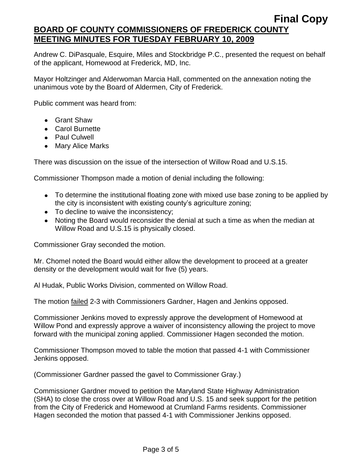Andrew C. DiPasquale, Esquire, Miles and Stockbridge P.C., presented the request on behalf of the applicant, Homewood at Frederick, MD, Inc.

Mayor Holtzinger and Alderwoman Marcia Hall, commented on the annexation noting the unanimous vote by the Board of Aldermen, City of Frederick.

Public comment was heard from:

- Grant Shaw
- Carol Burnette
- Paul Culwell
- Mary Alice Marks

There was discussion on the issue of the intersection of Willow Road and U.S.15.

Commissioner Thompson made a motion of denial including the following:

- To determine the institutional floating zone with mixed use base zoning to be applied by the city is inconsistent with existing county's agriculture zoning;
- To decline to waive the inconsistency;
- Noting the Board would reconsider the denial at such a time as when the median at Willow Road and U.S.15 is physically closed.

Commissioner Gray seconded the motion.

Mr. Chomel noted the Board would either allow the development to proceed at a greater density or the development would wait for five (5) years.

Al Hudak, Public Works Division, commented on Willow Road.

The motion failed 2-3 with Commissioners Gardner, Hagen and Jenkins opposed.

Commissioner Jenkins moved to expressly approve the development of Homewood at Willow Pond and expressly approve a waiver of inconsistency allowing the project to move forward with the municipal zoning applied. Commissioner Hagen seconded the motion.

Commissioner Thompson moved to table the motion that passed 4-1 with Commissioner Jenkins opposed.

(Commissioner Gardner passed the gavel to Commissioner Gray.)

Commissioner Gardner moved to petition the Maryland State Highway Administration (SHA) to close the cross over at Willow Road and U.S. 15 and seek support for the petition from the City of Frederick and Homewood at Crumland Farms residents. Commissioner Hagen seconded the motion that passed 4-1 with Commissioner Jenkins opposed.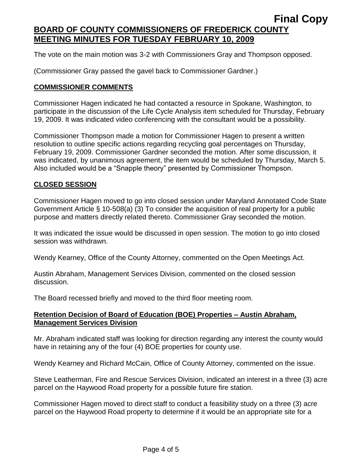The vote on the main motion was 3-2 with Commissioners Gray and Thompson opposed.

(Commissioner Gray passed the gavel back to Commissioner Gardner.)

#### **COMMISSIONER COMMENTS**

Commissioner Hagen indicated he had contacted a resource in Spokane, Washington, to participate in the discussion of the Life Cycle Analysis item scheduled for Thursday, February 19, 2009. It was indicated video conferencing with the consultant would be a possibility.

Commissioner Thompson made a motion for Commissioner Hagen to present a written resolution to outline specific actions regarding recycling goal percentages on Thursday, February 19, 2009. Commissioner Gardner seconded the motion. After some discussion, it was indicated, by unanimous agreement, the item would be scheduled by Thursday, March 5. Also included would be a "Snapple theory" presented by Commissioner Thompson.

#### **CLOSED SESSION**

Commissioner Hagen moved to go into closed session under Maryland Annotated Code State Government Article § 10-508(a) (3) To consider the acquisition of real property for a public purpose and matters directly related thereto. Commissioner Gray seconded the motion.

It was indicated the issue would be discussed in open session. The motion to go into closed session was withdrawn.

Wendy Kearney, Office of the County Attorney, commented on the Open Meetings Act.

Austin Abraham, Management Services Division, commented on the closed session discussion.

The Board recessed briefly and moved to the third floor meeting room.

#### **Retention Decision of Board of Education (BOE) Properties – Austin Abraham, Management Services Division**

Mr. Abraham indicated staff was looking for direction regarding any interest the county would have in retaining any of the four (4) BOE properties for county use.

Wendy Kearney and Richard McCain, Office of County Attorney, commented on the issue.

Steve Leatherman, Fire and Rescue Services Division, indicated an interest in a three (3) acre parcel on the Haywood Road property for a possible future fire station.

Commissioner Hagen moved to direct staff to conduct a feasibility study on a three (3) acre parcel on the Haywood Road property to determine if it would be an appropriate site for a